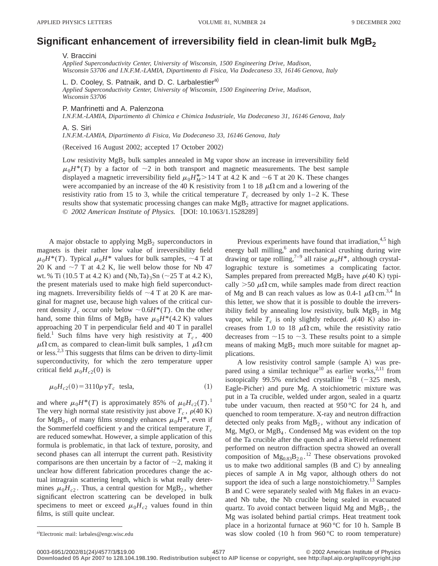## Significant enhancement of irreversibility field in clean-limit bulk MgB<sub>2</sub>

V. Braccini

*Applied Superconductivity Center, University of Wisconsin, 1500 Engineering Drive, Madison, Wisconsin 53706 and I.N.F.M.-LAMIA, Dipartimento di Fisica, Via Dodecaneso 33, 16146 Genova, Italy*

L. D. Cooley, S. Patnaik, and D. C. Larbalestier<sup>a)</sup>

*Applied Superconductivity Center, University of Wisconsin, 1500 Engineering Drive, Madison, Wisconsin 53706*

P. Manfrinetti and A. Palenzona

*I.N.F.M.-LAMIA, Dipartimento di Chimica e Chimica Industriale, Via Dodecaneso 31, 16146 Genova, Italy*

A. S. Siri

*I.N.F.M.-LAMIA, Dipartimento di Fisica, Via Dodecaneso 33, 16146 Genova, Italy*

(Received 16 August 2002; accepted 17 October 2002)

Low resistivity  $MgB<sub>2</sub>$  bulk samples annealed in Mg vapor show an increase in irreversibility field  $\mu_0 H^*(T)$  by a factor of  $\sim$ 2 in both transport and magnetic measurements. The best sample displayed a magnetic irreversibility field  $\mu_0 H_M^*$  > 14 T at 4.2 K and  $\sim$  6 T at 20 K. These changes were accompanied by an increase of the 40 K resistivity from 1 to 18  $\mu\Omega$  cm and a lowering of the resistivity ratio from 15 to 3, while the critical temperature  $T_c$  decreased by only 1–2 K. These results show that systematic processing changes can make  $MgB<sub>2</sub>$  attractive for magnet applications. © 2002 American Institute of Physics. [DOI: 10.1063/1.1528289]

A major obstacle to applying  $MgB<sub>2</sub>$  superconductors in magnets is their rather low value of irreversibility field  $\mu_0 H^*(T)$ . Typical  $\mu_0 H^*$  values for bulk samples,  $\sim$  4 T at 20 K and  $\sim$ 7 T at 4.2 K, lie well below those for Nb 47 wt. % Ti (10.5 T at 4.2 K) and  $(Nb, Ta)_{3}Sn$  (~25 T at 4.2 K), the present materials used to make high field superconducting magnets. Irreversibility fields of  $\sim$ 4 T at 20 K are marginal for magnet use, because high values of the critical current density  $J_c$  occur only below  $\sim 0.6H^*(T)$ . On the other hand, some thin films of MgB<sub>2</sub> have  $\mu_0H^*(4.2 \text{ K})$  values approaching 20 T in perpendicular field and 40 T in parallel field.<sup>1</sup> Such films have very high resistivity at  $T_c$ , 400  $\mu\Omega$  cm, as compared to clean-limit bulk samples, 1  $\mu\Omega$  cm or less.2,3 This suggests that films can be driven to dirty-limit superconductivity, for which the zero temperature upper critical field  $\mu_0H_{c2}(0)$  is

$$
\mu_0 H_{c2}(0) = 3110 \rho \gamma T_c \quad \text{tesla}, \tag{1}
$$

and where  $\mu_0 H^*(T)$  is approximately 85% of  $\mu_0 H_{c2}(T)$ .<sup>1</sup> The very high normal state resistivity just above  $T_c$ ,  $\rho$ (40 K) for MgB<sub>2</sub>, of many films strongly enhances  $\mu_0H^*$ , even if the Sommerfeld coefficient  $\gamma$  and the critical temperature  $T_c$ are reduced somewhat. However, a simple application of this formula is problematic, in that lack of texture, porosity, and second phases can all interrupt the current path. Resistivity comparisons are then uncertain by a factor of  $\sim$ 2, making it unclear how different fabrication procedures change the actual intragrain scattering length, which is what really determines  $\mu_0H_{c2}$ . Thus, a central question for MgB<sub>2</sub>, whether significant electron scattering can be developed in bulk specimens to meet or exceed  $\mu_0H_{c2}$  values found in thin films, is still quite unclear.

Previous experiments have found that irradiation, $4.5$  high energy ball milling,<sup>6</sup> and mechanical crushing during wire drawing or tape rolling,<sup>7–9</sup> all raise  $\mu_0 H^*$ , although crystallographic texture is sometimes a complicating factor. Samples prepared from prereacted MgB<sub>2</sub> have  $\rho$ (40 K) typically  $>50 \mu\Omega$  cm, while samples made from direct reaction of Mg and B can reach values as low as 0.4-1  $\mu\Omega$  cm.<sup>3,4</sup> In this letter, we show that it is possible to double the irreversibility field by annealing low resistivity, bulk  $MgB_2$  in Mg vapor, while  $T_c$  is only slightly reduced.  $\rho$ (40 K) also increases from 1.0 to 18  $\mu\Omega$  cm, while the resistivity ratio decreases from  $\sim$ 15 to  $\sim$ 3. These results point to a simple means of making  $MgB_2$  much more suitable for magnet applications.

A low resistivity control sample (sample A) was prepared using a similar technique<sup>10</sup> as earlier works,<sup>2,11</sup> from isotopically 99.5% enriched crystalline  $^{11}B$  (-325 mesh, Eagle-Picher) and pure Mg. A stoichiometric mixture was put in a Ta crucible, welded under argon, sealed in a quartz tube under vacuum, then reacted at  $950\,^{\circ}\text{C}$  for 24 h, and quenched to room temperature. X-ray and neutron diffraction detected only peaks from  $MgB<sub>2</sub>$ , without any indication of Mg, MgO, or MgB4 . Condensed Mg was evident on the top of the Ta crucible after the quench and a Rietveld refinement performed on neutron diffraction spectra showed an overall composition of  $Mg_{0.83}B_{2.0}$ .<sup>12</sup> These observations provoked us to make two additional samples  $(B \text{ and } C)$  by annealing pieces of sample A in Mg vapor, although others do not support the idea of such a large nonstoichiometry.<sup>13</sup> Samples B and C were separately sealed with Mg flakes in an evacuated Nb tube, the Nb crucible being sealed in evacuated quartz. To avoid contact between liquid Mg and  $MgB<sub>2</sub>$ , the Mg was isolated behind partial crimps. Heat treatment took place in a horizontal furnace at 960 °C for 10 h. Sample B was slow cooled  $(10 \text{ h from } 960 \degree C \text{ to room temperature})$ 

a)Electronic mail: larbales@engr.wisc.edu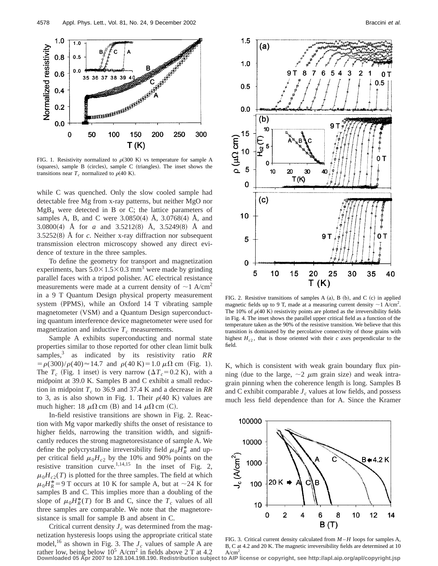

FIG. 1. Resistivity normalized to  $\rho$ (300 K) vs temperature for sample A  $(squares)$ , sample B  $(circles)$ , sample C  $(triangles)$ . The inset shows the transitions near  $T_c$  normalized to  $\rho$ (40 K).

while C was quenched. Only the slow cooled sample had detectable free Mg from x-ray patterns, but neither MgO nor  $MgB<sub>4</sub>$  were detected in B or C; the lattice parameters of samples A, B, and C were  $3.0850(4)$  A,  $3.0768(4)$  A, and 3.0800(4) Å for *a* and 3.5212(8) Å, 3.5249(8) Å and  $3.5252(8)$  Å for *c*. Neither x-ray diffraction nor subsequent transmission electron microscopy showed any direct evidence of texture in the three samples.

To define the geometry for transport and magnetization experiments, bars  $5.0 \times 1.5 \times 0.3$  mm<sup>3</sup> were made by grinding parallel faces with a tripod polisher. AC electrical resistance measurements were made at a current density of  $\sim$ 1 A/cm<sup>2</sup> in a 9 T Quantum Design physical property measurement system  $(PPMS)$ , while an Oxford 14 T vibrating sample magnetometer (VSM) and a Quantum Design superconducting quantum interference device magnetometer were used for magnetization and inductive  $T_c$  measurements.

Sample A exhibits superconducting and normal state properties similar to those reported for other clean limit bulk samples,<sup>3</sup> as indicated by its resistivity ratio *RR*  $= \frac{\rho(300)}{\rho(40)} \approx 14.7$  and  $\rho(40 \text{ K}) = 1.0 \mu \Omega \text{ cm (Fig. 1)}.$ The  $T_c$  (Fig. 1 inset) is very narrow ( $\Delta T_c = 0.2$  K), with a midpoint at 39.0 K. Samples B and C exhibit a small reduction in midpoint  $T_c$  to 36.9 and 37.4 K and a decrease in RR to 3, as is also shown in Fig. 1. Their  $\rho$ (40 K) values are much higher: 18  $\mu\Omega$  cm (B) and 14  $\mu\Omega$  cm (C).

In-field resistive transitions are shown in Fig. 2. Reaction with Mg vapor markedly shifts the onset of resistance to higher fields, narrowing the transition width, and significantly reduces the strong magnetoresistance of sample A. We define the polycrystalline irreversibility field  $\mu_0 H_R^*$  and upper critical field  $\mu_0H_{c2}$  by the 10% and 90% points on the resistive transition curve.<sup>1,14,15</sup> In the inset of Fig. 2,  $\mu_0H_{c2}(T)$  is plotted for the three samples. The field at which  $\mu_0 H_R^* = 9$  T occurs at 10 K for sample A, but at  $\sim$ 24 K for samples B and C. This implies more than a doubling of the slope of  $\mu_0 H_R^*(T)$  for B and C, since the  $T_c$  values of all three samples are comparable. We note that the magnetoresistance is small for sample B and absent in C.

Critical current density  $J_c$  was determined from the magnetization hysteresis loops using the appropriate critical state model,<sup>16</sup> as shown in Fig. 3. The  $J_c$  values of sample A are



FIG. 2. Resistive transitions of samples A  $(a)$ , B  $(b)$ , and C  $(c)$  in applied magnetic fields up to 9 T, made at a measuring current density  $\sim$  1 A/cm<sup>2</sup>. The 10% of  $\rho$ (40 K) resistivity points are plotted as the irreversibility fields in Fig. 4. The inset shows the parallel upper critical field as a function of the temperature taken as the 90% of the resistive transition. We believe that this transition is dominated by the percolative connectivity of those grains with highest  $H_{c2}$ , that is those oriented with their *c* axes perpendicular to the field.

K, which is consistent with weak grain boundary flux pinning (due to the large,  $\sim$ 2  $\mu$ m grain size) and weak intragrain pinning when the coherence length is long. Samples B and C exhibit comparable  $J_c$  values at low fields, and possess much less field dependence than for A. Since the Kramer



FIG. 3. Critical current density calculated from *M* – *H* loops for samples A, B, C at 4.2 and 20 K. The magnetic irreversibility fields are determined at 10

rather low, being below 10<sup>5</sup> A/cm<sup>2</sup> in fields above 2 T at 4.2 A/cm<sup>2</sup>.<br>Downloaded 05 Apr 2007 to 128.104.198.190. Redistribution subject to AIP license or copyright, see http://apl.aip.org/apl/copyright.jsp